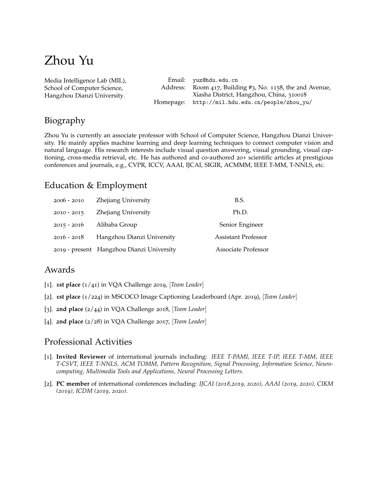# Zhou Yu

[Media Intelligence Lab \(MIL\),](http://mil.hdu.edu.cn/) [School of Computer Science,](http://computer.hdu.edu.cn/) [Hangzhou Dianzi University.](http://www.hdu.edu.cn/) Email: [yuz@hdu.edu.cn](mailto:yuz@hdu.edu.cn) Address: Room 417, Building #3, No. 1158, the 2nd Avenue, Xiasha District, Hangzhou, China, 310018 Homepage: [http://mil.hdu.edu.cn/people/zhou\\_yu/](http://mil.hdu.edu.cn/people/zhou_yu/)

# Biography

Zhou Yu is currently an associate professor with School of Computer Science, Hangzhou Dianzi University. He mainly applies machine learning and deep learning techniques to connect computer vision and natural language. His research interests include visual question answering, visual grounding, visual captioning, cross-media retrieval, etc. He has authored and co-authored 20+ scientific articles at prestigious conferences and journals, e.g., CVPR, ICCV, AAAI, IJCAI, SIGIR, ACMMM, IEEE T-MM, T-NNLS, etc.

## Education & Employment

| $2006 - 2010$ | Zhejiang University                       | B.S.                       |
|---------------|-------------------------------------------|----------------------------|
| $2010 - 2015$ | Zhejiang University                       | Ph.D.                      |
| $2015 - 2016$ | Alibaba Group                             | Senior Engineer            |
| $2016 - 2018$ | Hangzhou Dianzi University                | <b>Assistant Professor</b> |
|               | 2019 - present Hangzhou Dianzi University | Associate Professor        |

### Awards

- [1]. **1st place** (1/41) in VQA Challenge 2019, [*Team Leader*]
- [2]. **1st place** (1/224) in MSCOCO Image Captioning Leaderboard (Apr. 2019), [*Team Leader*]
- [3]. **2nd place** (2/44) in VQA Challenge 2018, [*Team Leader*]
- [4]. **2nd place** (2/28) in VQA Challenge 2017, [*Team Leader*]

### Professional Activities

- [1]. **Invited Reviewer** of international journals including: *IEEE T-PAMI, IEEE T-IP, IEEE T-MM, IEEE T-CSVT, IEEE T-NNLS, ACM TOMM, Pattern Recognition, Signal Processing, Information Science, Neurocomputing, Multimedia Tools and Applications, Neural Processing Letters*.
- [2]. **PC member** of international conferences including: *IJCAI (2018,2019, 2020), AAAI (2019, 2020), CIKM (2019), ICDM (2019, 2020)*.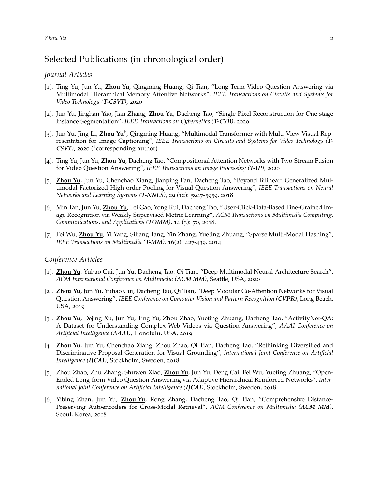### *Zhou Yu* 2

### Selected Publications (in chronological order)

### *Journal Articles*

- [1]. Ting Yu, Jun Yu, **Zhou Yu**, Qingming Huang, Qi Tian, "Long-Term Video Question Answering via Multimodal Hierarchical Memory Attentive Networks", *IEEE Transactions on Circuits and Systems for Video Technology (T-CSVT)*, 2020
- [2]. Jun Yu, Jinghan Yao, Jian Zhang, **Zhou Yu**, Dacheng Tao, "Single Pixel Reconstruction for One-stage Instance Segmentation", *IEEE Transactions on Cybernetics (T-CYB)*, 2020
- [3]. Jun Yu, Jing Li, Zhou Yu<sup>†</sup>, Qingming Huang, "Multimodal Transformer with Multi-View Visual Representation for Image Captioning", *IEEE Transactions on Circuits and Systems for Video Technology (T-CSVT)*, 2020 ( † corresponding author)
- [4]. Ting Yu, Jun Yu, **Zhou Yu**, Dacheng Tao, "Compositional Attention Networks with Two-Stream Fusion for Video Question Answering", *IEEE Transactions on Image Processing (T-IP)*, 2020
- [5]. **Zhou Yu**, Jun Yu, Chenchao Xiang, Jianping Fan, Dacheng Tao, "Beyond Bilinear: Generalized Multimodal Factorized High-order Pooling for Visual Question Answering", *IEEE Transactions on Neural Networks and Learning Systems (T-NNLS)*, 29 (12): 5947-5959, 2018
- [6]. Min Tan, Jun Yu, **Zhou Yu**, Fei Gao, Yong Rui, Dacheng Tao, "User-Click-Data-Based Fine-Grained Image Recognition via Weakly Supervised Metric Learning", *ACM Transactions on Multimedia Computing, Communications, and Applications (TOMM)*, 14 (3): 70, 2018.
- [7]. Fei Wu, **Zhou Yu**, Yi Yang, Siliang Tang, Yin Zhang, Yueting Zhuang, "Sparse Multi-Modal Hashing", *IEEE Transactions on Multimedia (T-MM)*, 16(2): 427-439, 2014

#### *Conference Articles*

- [1]. **Zhou Yu**, Yuhao Cui, Jun Yu, Dacheng Tao, Qi Tian, "Deep Multimodal Neural Architecture Search", *ACM International Conference on Multimedia (ACM MM)*, Seattle, USA, 2020
- [2]. **Zhou Yu**, Jun Yu, Yuhao Cui, Dacheng Tao, Qi Tian, "Deep Modular Co-Attention Networks for Visual Question Answering", *IEEE Conference on Computer Vision and Pattern Recognition (CVPR)*, Long Beach, USA, 2019
- [3]. **Zhou Yu**, Dejing Xu, Jun Yu, Ting Yu, Zhou Zhao, Yueting Zhuang, Dacheng Tao, "ActivityNet-QA: A Dataset for Understanding Complex Web Videos via Question Answering", *AAAI Conference on Artificial Intelligence (AAAI)*, Honolulu, USA, 2019
- [4]. **Zhou Yu**, Jun Yu, Chenchao Xiang, Zhou Zhao, Qi Tian, Dacheng Tao, "Rethinking Diversified and Discriminative Proposal Generation for Visual Grounding", *International Joint Conference on Artificial Intelligence (IJCAI)*, Stockholm, Sweden, 2018
- [5]. Zhou Zhao, Zhu Zhang, Shuwen Xiao, **Zhou Yu**, Jun Yu, Deng Cai, Fei Wu, Yueting Zhuang, "Open-Ended Long-form Video Question Answering via Adaptive Hierarchical Reinforced Networks", *International Joint Conference on Artificial Intelligence (IJCAI)*, Stockholm, Sweden, 2018
- [6]. Yibing Zhan, Jun Yu, **Zhou Yu**, Rong Zhang, Dacheng Tao, Qi Tian, "Comprehensive Distance-Preserving Autoencoders for Cross-Modal Retrieval", *ACM Conference on Multimedia (ACM MM)*, Seoul, Korea, 2018